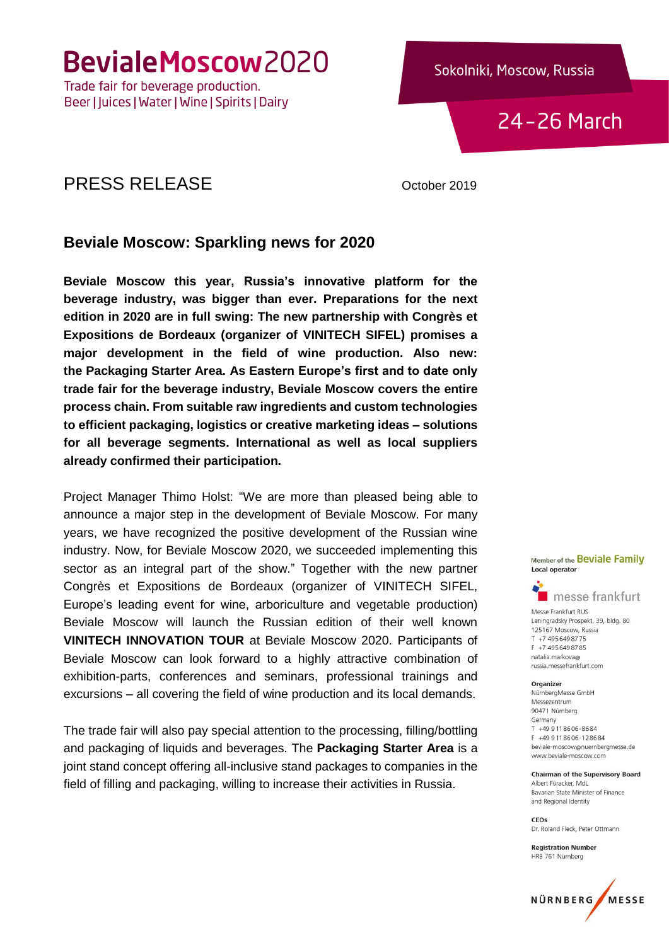BevialeMoscow2020

Trade fair for beverage production. Beer | Juices | Water | Wine | Spirits | Dairy

24-26 March

### PRESS RELEASE October 2019

#### **Beviale Moscow: Sparkling news for 2020**

**Beviale Moscow this year, Russia's innovative platform for the beverage industry, was bigger than ever. Preparations for the next edition in 2020 are in full swing: The new partnership with Congrès et Expositions de Bordeaux (organizer of VINITECH SIFEL) promises a major development in the field of wine production. Also new: the Packaging Starter Area. As Eastern Europe's first and to date only trade fair for the beverage industry, Beviale Moscow covers the entire process chain. From suitable raw ingredients and custom technologies to efficient packaging, logistics or creative marketing ideas – solutions for all beverage segments. International as well as local suppliers already confirmed their participation.**

Project Manager Thimo Holst: "We are more than pleased being able to announce a major step in the development of Beviale Moscow. For many years, we have recognized the positive development of the Russian wine industry. Now, for Beviale Moscow 2020, we succeeded implementing this sector as an integral part of the show." Together with the new partner Congrès et Expositions de Bordeaux (organizer of VINITECH SIFEL, Europe's leading event for wine, arboriculture and vegetable production) Beviale Moscow will launch the Russian edition of their well known **VINITECH INNOVATION TOUR** at Beviale Moscow 2020. Participants of Beviale Moscow can look forward to a highly attractive combination of exhibition-parts, conferences and seminars, professional trainings and excursions – all covering the field of wine production and its local demands.

The trade fair will also pay special attention to the processing, filling/bottling and packaging of liquids and beverages. The **Packaging Starter Area** is a joint stand concept offering all-inclusive stand packages to companies in the field of filling and packaging, willing to increase their activities in Russia.

Member of the Beviale Family **Local operator** 



Messe Frankfurt RUS Leningradsky Prospekt, 39, bldg. 80 125167 Moscow, Russia T +7 495 649 8775 F +7 495 649 87 85 natalia markova@ russia.messefrankfurt.com

Organizer

NürnbergMesse GmbH Messezentrum 90471 Nürnberg Germany T +49 9 11 86 06-86 84 F +49 9 11 86 06 - 12 86 84 beviale-moscow@nuernbergmesse.de www.beviale-moscow.com

**Chairman of the Supervisory Board** Albert Füracker, MdL Bayarian State Minister of Finance and Regional Identity

CEOs Dr. Roland Fleck, Peter Ottmann

**Registration Number** HRB 761 Nürnberg

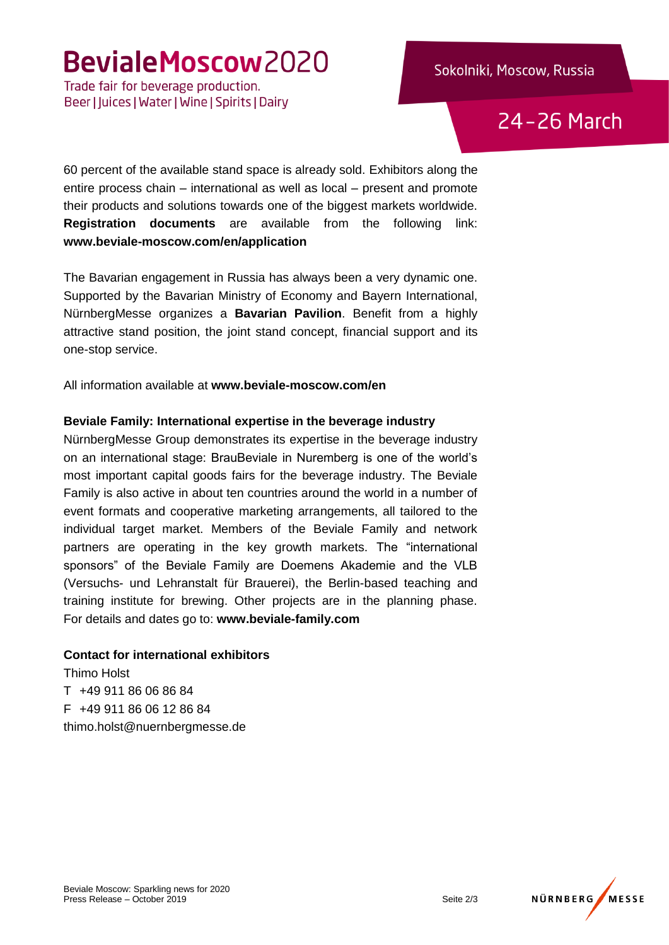# BevialeMoscow2020

Trade fair for beverage production. Beer | Juices | Water | Wine | Spirits | Dairy

24-26 March

60 percent of the available stand space is already sold. Exhibitors along the entire process chain – international as well as local – present and promote their products and solutions towards one of the biggest markets worldwide. **Registration documents** are available from the following link: **[www.beviale-moscow.com/en/application](http://www.beviale-moscow.com/en/application)**

The Bavarian engagement in Russia has always been a very dynamic one. Supported by the Bavarian Ministry of Economy and Bayern International, NürnbergMesse organizes a **Bavarian Pavilion**. Benefit from a highly attractive stand position, the joint stand concept, financial support and its one-stop service.

All information available at **www.beviale-moscow.com/en**

#### **Beviale Family: International expertise in the beverage industry**

NürnbergMesse Group demonstrates its expertise in the beverage industry on an international stage: BrauBeviale in Nuremberg is one of the world's most important capital goods fairs for the beverage industry. The Beviale Family is also active in about ten countries around the world in a number of event formats and cooperative marketing arrangements, all tailored to the individual target market. Members of the Beviale Family and network partners are operating in the key growth markets. The "international sponsors" of the Beviale Family are Doemens Akademie and the VLB (Versuchs- und Lehranstalt für Brauerei), the Berlin-based teaching and training institute for brewing. Other projects are in the planning phase. For details and dates go to: **www.beviale-family.com**

#### **Contact for international exhibitors**

Thimo Holst T +49 911 86 06 86 84 F +49 911 86 06 12 86 84 thimo.holst@nuernbergmesse.de